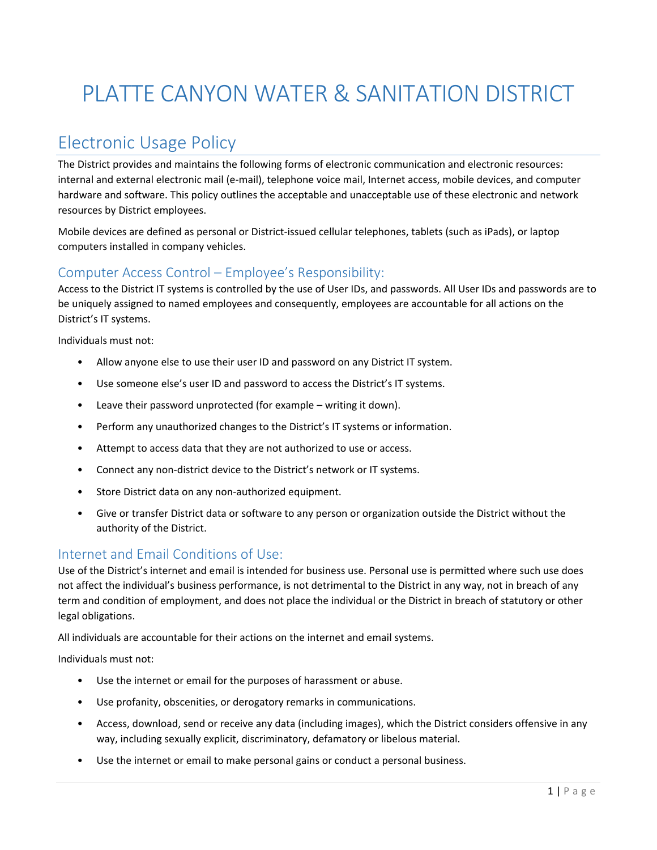# PLATTE CANYON WATER & SANITATION DISTRICT

## Electronic Usage Policy

The District provides and maintains the following forms of electronic communication and electronic resources: internal and external electronic mail (e-mail), telephone voice mail, Internet access, mobile devices, and computer hardware and software. This policy outlines the acceptable and unacceptable use of these electronic and network resources by District employees.

Mobile devices are defined as personal or District-issued cellular telephones, tablets (such as iPads), or laptop computers installed in company vehicles.

### Computer Access Control – Employee's Responsibility:

Access to the District IT systems is controlled by the use of User IDs, and passwords. All User IDs and passwords are to be uniquely assigned to named employees and consequently, employees are accountable for all actions on the District's IT systems.

Individuals must not:

- Allow anyone else to use their user ID and password on any District IT system.
- Use someone else's user ID and password to access the District's IT systems.
- Leave their password unprotected (for example  $-$  writing it down).
- Perform any unauthorized changes to the District's IT systems or information.
- Attempt to access data that they are not authorized to use or access.
- Connect any non-district device to the District's network or IT systems.
- Store District data on any non-authorized equipment.
- Give or transfer District data or software to any person or organization outside the District without the authority of the District.

#### Internet and Email Conditions of Use:

Use of the District's internet and email is intended for business use. Personal use is permitted where such use does not affect the individual's business performance, is not detrimental to the District in any way, not in breach of any term and condition of employment, and does not place the individual or the District in breach of statutory or other legal obligations.

All individuals are accountable for their actions on the internet and email systems.

Individuals must not:

- Use the internet or email for the purposes of harassment or abuse.
- Use profanity, obscenities, or derogatory remarks in communications.
- Access, download, send or receive any data (including images), which the District considers offensive in any way, including sexually explicit, discriminatory, defamatory or libelous material.
- Use the internet or email to make personal gains or conduct a personal business.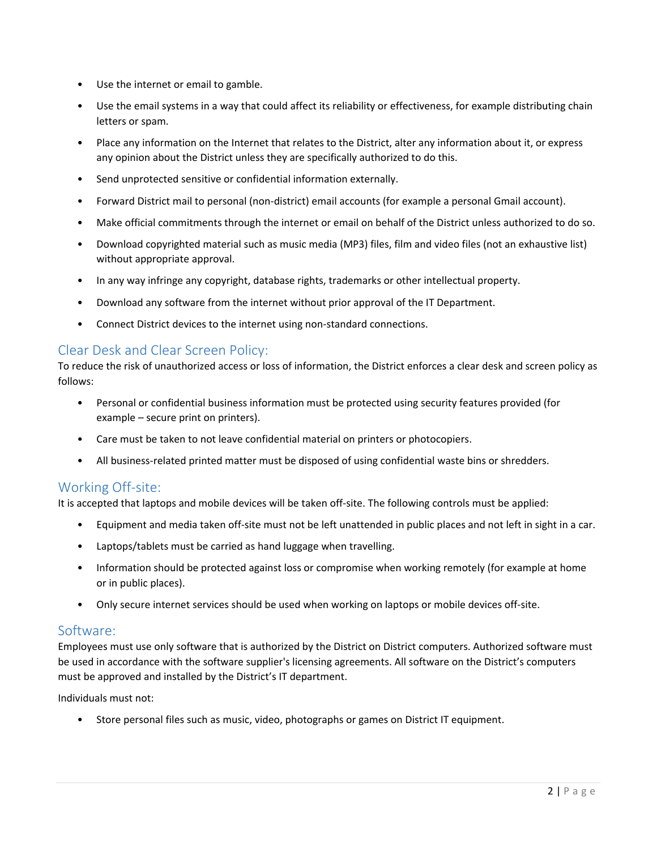- Use the internet or email to gamble.
- Use the email systems in a way that could affect its reliability or effectiveness, for example distributing chain letters or spam.
- Place any information on the Internet that relates to the District, alter any information about it, or express any opinion about the District unless they are specifically authorized to do this.
- Send unprotected sensitive or confidential information externally.
- Forward District mail to personal (non-district) email accounts (for example a personal Gmail account).
- Make official commitments through the internet or email on behalf of the District unless authorized to do so.
- Download copyrighted material such as music media (MP3) files, film and video files (not an exhaustive list) without appropriate approval.
- In any way infringe any copyright, database rights, trademarks or other intellectual property.
- Download any software from the internet without prior approval of the IT Department.
- Connect District devices to the internet using non-standard connections.

#### Clear Desk and Clear Screen Policy:

To reduce the risk of unauthorized access or loss of information, the District enforces a clear desk and screen policy as follows:

- Personal or confidential business information must be protected using security features provided (for example – secure print on printers).
- Care must be taken to not leave confidential material on printers or photocopiers.
- All business-related printed matter must be disposed of using confidential waste bins or shredders.

#### Working Off-site:

It is accepted that laptops and mobile devices will be taken off-site. The following controls must be applied:

- Equipment and media taken off-site must not be left unattended in public places and not left in sight in a car.
- Laptops/tablets must be carried as hand luggage when travelling.
- Information should be protected against loss or compromise when working remotely (for example at home or in public places).
- Only secure internet services should be used when working on laptops or mobile devices off-site.

#### Software:

Employees must use only software that is authorized by the District on District computers. Authorized software must be used in accordance with the software supplier's licensing agreements. All software on the District's computers must be approved and installed by the District's IT department.

Individuals must not:

• Store personal files such as music, video, photographs or games on District IT equipment.